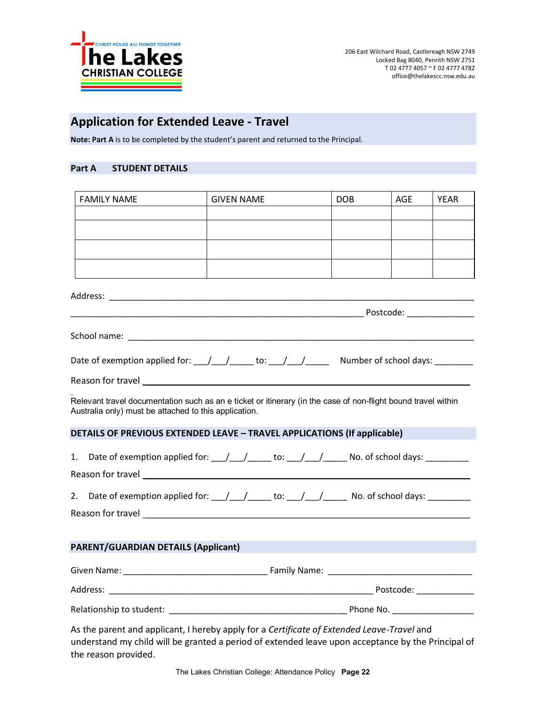

## **Application for Extended Leave ‐ Travel**

**Note: Part A** is to be completed by the student's parent and returned to the Principal.

## **Part A STUDENT DETAILS**

| <b>FAMILY NAME</b>                                                                                                                                                                                                                   | <b>GIVEN NAME</b> |  | <b>DOB</b> | AGE | <b>YEAR</b> |
|--------------------------------------------------------------------------------------------------------------------------------------------------------------------------------------------------------------------------------------|-------------------|--|------------|-----|-------------|
|                                                                                                                                                                                                                                      |                   |  |            |     |             |
|                                                                                                                                                                                                                                      |                   |  |            |     |             |
|                                                                                                                                                                                                                                      |                   |  |            |     |             |
|                                                                                                                                                                                                                                      |                   |  |            |     |             |
|                                                                                                                                                                                                                                      |                   |  |            |     |             |
|                                                                                                                                                                                                                                      |                   |  |            |     |             |
|                                                                                                                                                                                                                                      |                   |  |            |     |             |
|                                                                                                                                                                                                                                      |                   |  |            |     |             |
|                                                                                                                                                                                                                                      |                   |  |            |     |             |
|                                                                                                                                                                                                                                      |                   |  |            |     |             |
| Relevant travel documentation such as an e ticket or itinerary (in the case of non-flight bound travel within<br>Australia only) must be attached to this application.                                                               |                   |  |            |     |             |
| <b>DETAILS OF PREVIOUS EXTENDED LEAVE - TRAVEL APPLICATIONS (If applicable)</b>                                                                                                                                                      |                   |  |            |     |             |
| Date of exemption applied for: \[ \] \[ \] \[ \] \[ \] \[ \] \[ \] \[ \] \[ \] \[ \] \[ \] \[ \] \[ \] \[ \] \[ \] \[ \] \[ \] \[ \] \[ \] \[ \] \[ \] \[ \] \[ \] \[ \] \[ \] \[ \] \[ \] \[ \] \[ \] \[ \] \[ \] \[ \] \[ \]<br>1. |                   |  |            |     |             |
|                                                                                                                                                                                                                                      |                   |  |            |     |             |
| 2.                                                                                                                                                                                                                                   |                   |  |            |     |             |
|                                                                                                                                                                                                                                      |                   |  |            |     |             |
|                                                                                                                                                                                                                                      |                   |  |            |     |             |
| <b>PARENT/GUARDIAN DETAILS (Applicant)</b>                                                                                                                                                                                           |                   |  |            |     |             |
|                                                                                                                                                                                                                                      |                   |  |            |     |             |
|                                                                                                                                                                                                                                      |                   |  |            |     |             |
|                                                                                                                                                                                                                                      |                   |  |            |     |             |
| As the parent and applicant, I hereby apply for a Certificate of Extended Leave-Travel and                                                                                                                                           |                   |  |            |     |             |

understand my child will be granted a period of extended leave upon acceptance by the Principal of the reason provided.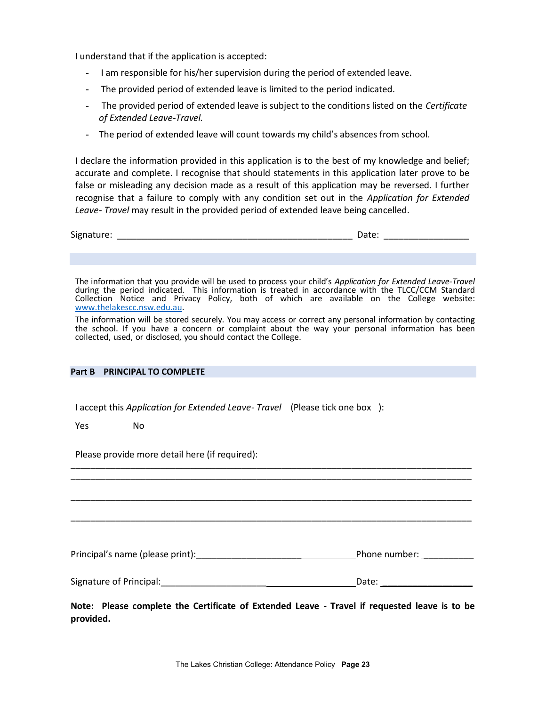I understand that if the application is accepted:

- I am responsible for his/her supervision during the period of extended leave.
- The provided period of extended leave is limited to the period indicated.
- The provided period of extended leave is subject to the conditions listed on the *Certificate of Extended Leave‐Travel.*
- The period of extended leave will count towards my child's absences from school.

I declare the information provided in this application is to the best of my knowledge and belief; accurate and complete. I recognise that should statements in this application later prove to be false or misleading any decision made as a result of this application may be reversed. I further recognise that a failure to comply with any condition set out in the *Application for Extended Leave‐ Travel* may result in the provided period of extended leave being cancelled.

| Signature: |  | ___________ |
|------------|--|-------------|
|            |  |             |

The information that you provide will be used to process your child's *Application for Extended Leave‐Travel* during the period indicated. This information is treated in accordance with the TLCC/CCM Standard Collection Notice and Privacy Policy, both of which are available on the College website: www.thelakescc.nsw.edu.au.

The information will be stored securely. You may access or correct any personal information by contacting the school. If you have a concern or complaint about the way your personal information has been collected, used, or disclosed, you should contact the College.

#### **Part B PRINCIPAL TO COMPLETE**

I accept this *Application for Extended Leave‐ Travel* (Please tick one box ):

Yes No

Please provide more detail here (if required):

Principal's name (please print):\_\_\_\_\_\_\_\_\_\_\_\_\_\_\_\_\_\_\_\_\_ Phone number: \_\_\_\_\_\_\_\_\_\_

\_\_\_\_\_\_\_\_\_\_\_\_\_\_\_\_\_\_\_\_\_\_\_\_\_\_\_\_\_\_\_\_\_\_\_\_\_\_\_\_\_\_\_\_\_\_\_\_\_\_\_\_\_\_\_\_\_\_\_\_\_\_\_\_\_\_\_\_\_\_\_\_\_\_\_\_\_\_\_\_

\_\_\_\_\_\_\_\_\_\_\_\_\_\_\_\_\_\_\_\_\_\_\_\_\_\_\_\_\_\_\_\_\_\_\_\_\_\_\_\_\_\_\_\_\_\_\_\_\_\_\_\_\_\_\_\_\_\_\_\_\_\_\_\_\_\_\_\_\_\_\_\_\_\_\_\_\_\_\_\_

\_\_\_\_\_\_\_\_\_\_\_\_\_\_\_\_\_\_\_\_\_\_\_\_\_\_\_\_\_\_\_\_\_\_\_\_\_\_\_\_\_\_\_\_\_\_\_\_\_\_\_\_\_\_\_\_\_\_\_\_\_\_\_\_\_\_\_\_\_\_\_\_\_\_\_\_\_\_\_\_

| Signature of Principal: | Date: |  |
|-------------------------|-------|--|
|                         |       |  |

**Note: Please complete the Certificate of Extended Leave ‐ Travel if requested leave is to be provided.**